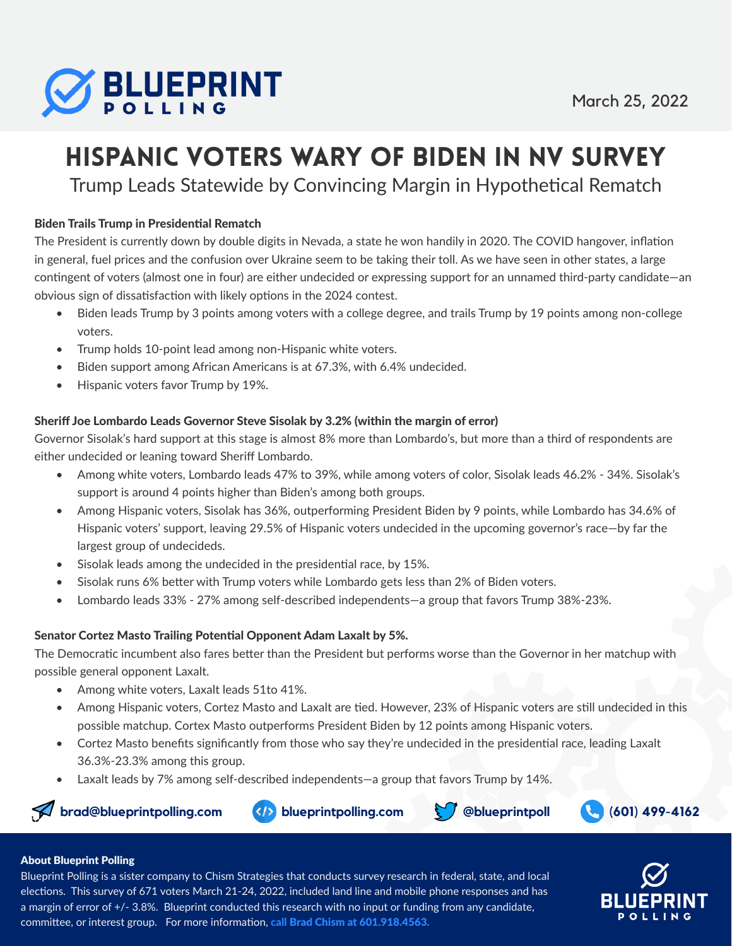

# Hispanic Voters Wary of Biden in NV Survey

Trump Leads Statewide by Convincing Margin in Hypothetical Rematch

#### Biden Trails Trump in Presidential Rematch

The President is currently down by double digits in Nevada, a state he won handily in 2020. The COVID hangover, inflation in general, fuel prices and the confusion over Ukraine seem to be taking their toll. As we have seen in other states, a large contingent of voters (almost one in four) are either undecided or expressing support for an unnamed third-party candidate—an obvious sign of dissatisfaction with likely options in the 2024 contest.

- Biden leads Trump by 3 points among voters with a college degree, and trails Trump by 19 points among non-college voters.
- Trump holds 10-point lead among non-Hispanic white voters.
- Biden support among African Americans is at 67.3%, with 6.4% undecided.
- Hispanic voters favor Trump by 19%.

#### Sheriff Joe Lombardo Leads Governor Steve Sisolak by 3.2% (within the margin of error)

Governor Sisolak's hard support at this stage is almost 8% more than Lombardo's, but more than a third of respondents are either undecided or leaning toward Sheriff Lombardo.

- Among white voters, Lombardo leads 47% to 39%, while among voters of color, Sisolak leads 46.2% 34%. Sisolak's support is around 4 points higher than Biden's among both groups.
- Among Hispanic voters, Sisolak has 36%, outperforming President Biden by 9 points, while Lombardo has 34.6% of Hispanic voters' support, leaving 29.5% of Hispanic voters undecided in the upcoming governor's race—by far the largest group of undecideds.
- Sisolak leads among the undecided in the presidential race, by 15%.
- Sisolak runs 6% better with Trump voters while Lombardo gets less than 2% of Biden voters.
- Lombardo leads 33% 27% among self-described independents—a group that favors Trump 38%-23%.

#### Senator Cortez Masto Trailing Potential Opponent Adam Laxalt by 5%.

The Democratic incumbent also fares better than the President but performs worse than the Governor in her matchup with possible general opponent Laxalt.

- Among white voters, Laxalt leads 51to 41%.
- Among Hispanic voters, Cortez Masto and Laxalt are tied. However, 23% of Hispanic voters are still undecided in this possible matchup. Cortex Masto outperforms President Biden by 12 points among Hispanic voters.
- Cortez Masto benefits significantly from those who say they're undecided in the presidential race, leading Laxalt 36.3%-23.3% among this group.
- Laxalt leads by 7% among self-described independents—a group that favors Trump by 14%.









#### About Blueprint Polling

Blueprint Polling is a sister company to Chism Strategies that conducts survey research in federal, state, and local elections. This survey of 671 voters March 21-24, 2022, included land line and mobile phone responses and has a margin of error of +/- 3.8%. Blueprint conducted this research with no input or funding from any candidate, committee, or interest group. For more information, call Brad Chism at 601.918.4563.

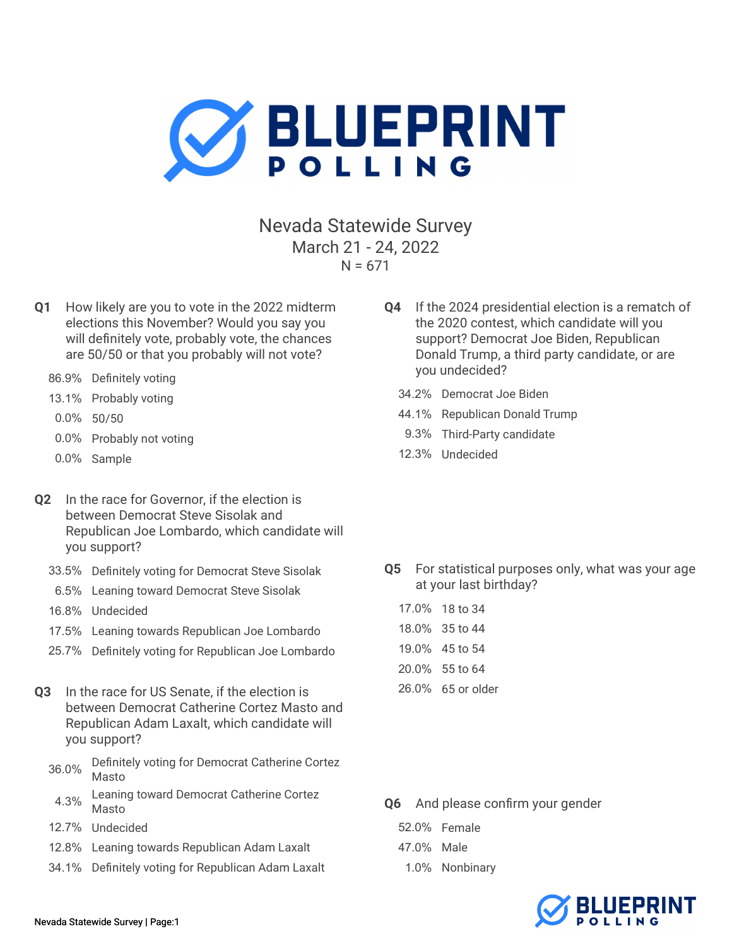

Nevada Statewide Survey March 21 - 24, 2022  $N = 671$ 

- Q1 How likely are you to vote in the 2022 midterm elections this November? Would you say you will definitely vote, probably vote, the chances are 50/50 or that you probably will not vote?
	- 86.9% Definitely voting
	- 13.1% Probably voting
	- 0.0% 50/50
	- 0.0% Probably not voting
	- 0.0% Sample
- Q2 In the race for Governor, if the election is between Democrat Steve Sisolak and Republican Joe Lombardo, which candidate will you support?
	- 33.5% Definitely voting for Democrat Steve Sisolak
	- 6.5% Leaning toward Democrat Steve Sisolak
	- 16.8% Undecided
	- 17.5% Leaning towards Republican Joe Lombardo
	- 25.7% Definitely voting for Republican Joe Lombardo
- Q3 In the race for US Senate, if the election is between Democrat Catherine Cortez Masto and Republican Adam Laxalt, which candidate will you support?
	- 36.0% Definitely voting for Democrat Catherine Cortez Masto
	- 4.3% Leaning toward Democrat Catherine Cortez Masto
	- 12.7% Undecided
	- 12.8% Leaning towards Republican Adam Laxalt
	- 34.1% Definitely voting for Republican Adam Laxalt
- Q4 If the 2024 presidential election is a rematch of the 2020 contest, which candidate will you support? Democrat Joe Biden, Republican Donald Trump, a third party candidate, or are you undecided?
	- 34.2% Democrat Joe Biden
	- 44.1% Republican Donald Trump
	- 9.3% Third-Party candidate
	- 12.3% Undecided

Q5 For statistical purposes only, what was your age at your last birthday?

| 17.0% 18 to 34    |
|-------------------|
| 18.0% 35 to 44    |
| 19.0% 45 to 54    |
| 20.0% 55 to 64    |
| 26.0% 65 or older |
|                   |

- Q6 And please confirm your gender
	- 52.0% Female
	- 47.0% Male
	- 1.0% Nonbinary

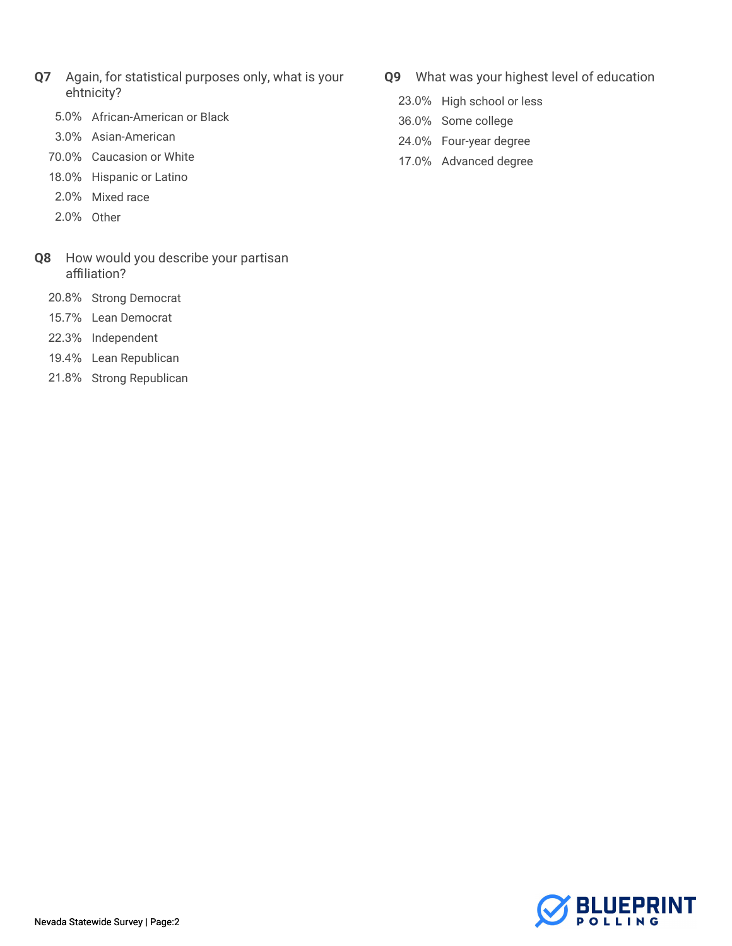- Q7 Again, for statistical purposes only, what is your ehtnicity?
	- 5.0% African-American or Black
	- 3.0% Asian-American
	- 70.0% Caucasion or White
	- 18.0% Hispanic or Latino
	- 2.0% Mixed race
	- 2.0% Other
- Q8 How would you describe your partisan affiliation?
	- 20.8% Strong Democrat
	- 15.7% Lean Democrat
	- 22.3% Independent
	- 19.4% Lean Republican
	- 21.8% Strong Republican
- Q9 What was your highest level of education
	- 23.0% High school or less
	- 36.0% Some college
	- 24.0% Four-year degree
	- 17.0% Advanced degree

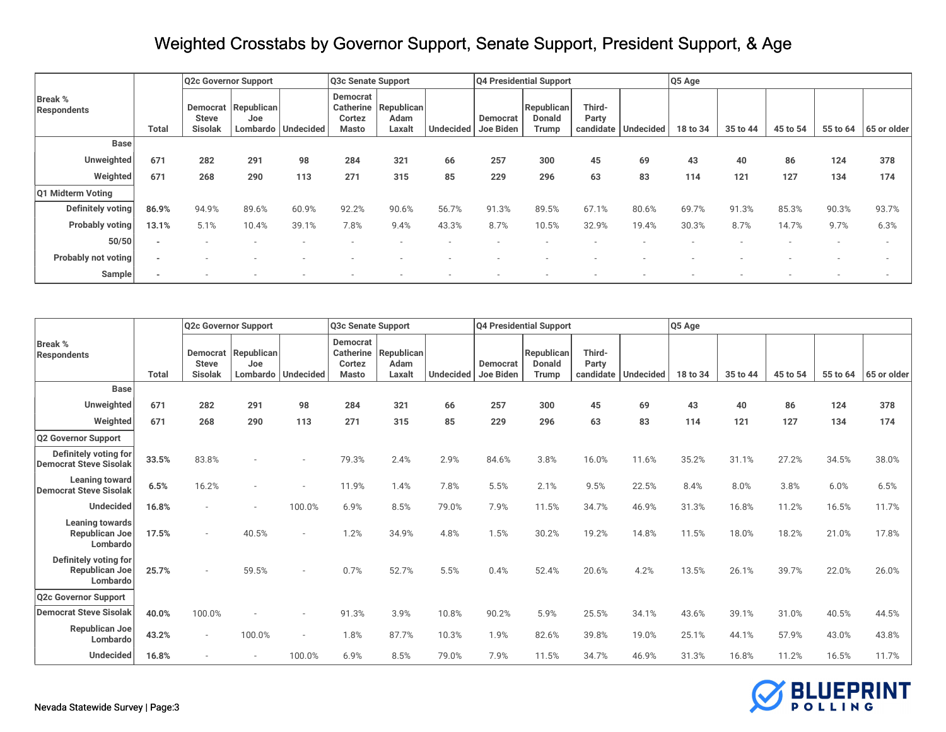| Q4 Presidential Support<br>Q5 Age<br>Q3c Senate Support<br>Q2c Governor Support<br>Democrat<br><b>Break %</b><br>Third-<br>Republican<br>Republican<br>Republican<br><b>Catherine</b><br><b>Democrat</b><br><b>Respondents</b><br><b>Donald</b><br>Party<br>Adam<br><b>Steve</b><br>Cortez<br>Democrat<br>Joe |
|---------------------------------------------------------------------------------------------------------------------------------------------------------------------------------------------------------------------------------------------------------------------------------------------------------------|
|                                                                                                                                                                                                                                                                                                               |
| Lombardo   Undecided<br><b>Undecided</b><br>Joe Biden<br>Undecided<br>35 to 44<br>55 to 64<br>65 or older<br><b>Total</b><br><b>Sisolak</b><br>Laxalt<br>Trump<br>candidate<br>45 to 54<br><b>Masto</b><br>18 to 34                                                                                           |
| <b>Base</b>                                                                                                                                                                                                                                                                                                   |
| Unweighted<br>671<br>291<br>257<br>378<br>282<br>321<br>69<br>124<br>98<br>284<br>66<br>300<br>45<br>40<br>43<br>86                                                                                                                                                                                           |
| Weighted<br>671<br>290<br>229<br>121<br>127<br>268<br>271<br>85<br>296<br>63<br>83<br>134<br>174<br>315<br>113<br>114                                                                                                                                                                                         |
| Q1 Midterm Voting                                                                                                                                                                                                                                                                                             |
| <b>Definitely voting</b><br>93.7%<br>86.9%<br>91.3%<br>90.3%<br>94.9%<br>89.6%<br>60.9%<br>92.2%<br>56.7%<br>89.5%<br>67.19<br>80.6%<br>69.7%<br>90.6%<br>91.3%<br>85.3%                                                                                                                                      |
| <b>Probably voting</b><br>7.8%<br>8.7%<br>32.9%<br>8.7%<br>9.7%<br>6.3%<br>39.1%<br>43.3%<br>10.5%<br>30.3%<br>14.7%<br>13.1%<br>5.1%<br>10.4%<br>9.4%<br>19.4%                                                                                                                                               |
| 50/50<br>$\sim$                                                                                                                                                                                                                                                                                               |
| <b>Probably not voting</b><br>$\sim$                                                                                                                                                                                                                                                                          |
| Sample                                                                                                                                                                                                                                                                                                        |

|                                                            |              | Q2c Governor Support           |                            |                          | Q3c Senate Support                                     |                              |                  |                       | Q4 Presidential Support              |                              |                  | Q5 Age   |          |          |          |             |
|------------------------------------------------------------|--------------|--------------------------------|----------------------------|--------------------------|--------------------------------------------------------|------------------------------|------------------|-----------------------|--------------------------------------|------------------------------|------------------|----------|----------|----------|----------|-------------|
| <b>Break %</b><br><b>Respondents</b>                       | <b>Total</b> | <b>Steve</b><br><b>Sisolak</b> | Democrat Republican<br>Joe | Lombardo   Undecided     | <b>Democrat</b><br><b>Catherine</b><br>Cortez<br>Masto | Republican<br>Adam<br>Laxalt | <b>Undecided</b> | Democrat<br>Joe Biden | Republican<br><b>Donald</b><br>Trump | Third-<br>Party<br>candidate | <b>Undecided</b> | 18 to 34 | 35 to 44 | 45 to 54 | 55 to 64 | 65 or older |
| <b>Base</b>                                                |              |                                |                            |                          |                                                        |                              |                  |                       |                                      |                              |                  |          |          |          |          |             |
| Unweighted                                                 | 671          | 282                            | 291                        | 98                       | 284                                                    | 321                          | 66               | 257                   | 300                                  | 45                           | 69               | 43       | 40       | 86       | 124      | 378         |
| Weighted                                                   | 671          | 268                            | 290                        | 113                      | 271                                                    | 315                          | 85               | 229                   | 296                                  | 63                           | 83               | 114      | 121      | 127      | 134      | 174         |
| <b>Q2 Governor Support</b>                                 |              |                                |                            |                          |                                                        |                              |                  |                       |                                      |                              |                  |          |          |          |          |             |
| Definitely voting for<br><b>Democrat Steve Sisolak</b>     | 33.5%        | 83.8%                          |                            |                          | 79.3%                                                  | 2.4%                         | 2.9%             | 84.6%                 | 3.8%                                 | 16.0%                        | 11.6%            | 35.2%    | 31.1%    | 27.2%    | 34.5%    | 38.0%       |
| <b>Leaning toward</b><br><b>Democrat Steve Sisolak</b>     | 6.5%         | 16.2%                          | $\sim$                     |                          | 11.9%                                                  | 1.4%                         | 7.8%             | 5.5%                  | 2.1%                                 | 9.5%                         | 22.5%            | 8.4%     | 8.0%     | 3.8%     | 6.0%     | 6.5%        |
| <b>Undecided</b>                                           | 16.8%        |                                | $\sim$                     | 100.0%                   | 6.9%                                                   | 8.5%                         | 79.0%            | 7.9%                  | 11.5%                                | 34.7%                        | 46.9%            | 31.3%    | 16.8%    | 11.2%    | 16.5%    | 11.7%       |
| Leaning towards<br>Republican Joe<br>Lombardo              | 17.5%        | $\sim$                         | 40.5%                      | $\overline{\phantom{a}}$ | 1.2%                                                   | 34.9%                        | 4.8%             | 1.5%                  | 30.2%                                | 19.2%                        | 14.8%            | 11.5%    | 18.0%    | 18.2%    | 21.0%    | 17.8%       |
| Definitely voting for<br><b>Republican Joe</b><br>Lombardo | 25.7%        | $\sim$                         | 59.5%                      | $\sim$                   | 0.7%                                                   | 52.7%                        | 5.5%             | 0.4%                  | 52.4%                                | 20.6%                        | 4.2%             | 13.5%    | 26.1%    | 39.7%    | 22.0%    | 26.0%       |
| <b>Q2c Governor Support</b>                                |              |                                |                            |                          |                                                        |                              |                  |                       |                                      |                              |                  |          |          |          |          |             |
| <b>Democrat Steve Sisolak</b>                              | 40.0%        | 100.0%                         |                            |                          | 91.3%                                                  | 3.9%                         | 10.8%            | 90.2%                 | 5.9%                                 | 25.5%                        | 34.1%            | 43.6%    | 39.1%    | 31.0%    | 40.5%    | 44.5%       |
| Republican Joe<br>Lombardo                                 | 43.2%        | $\sim$                         | 100.0%                     | $\overline{\phantom{a}}$ | 1.8%                                                   | 87.7%                        | 10.3%            | 1.9%                  | 82.6%                                | 39.8%                        | 19.0%            | 25.1%    | 44.1%    | 57.9%    | 43.0%    | 43.8%       |
| <b>Undecided</b>                                           | 16.8%        |                                | $\sim$                     | 100.0%                   | 6.9%                                                   | 8.5%                         | 79.0%            | 7.9%                  | 11.5%                                | 34.7%                        | 46.9%            | 31.3%    | 16.8%    | 11.2%    | 16.5%    | 11.7%       |

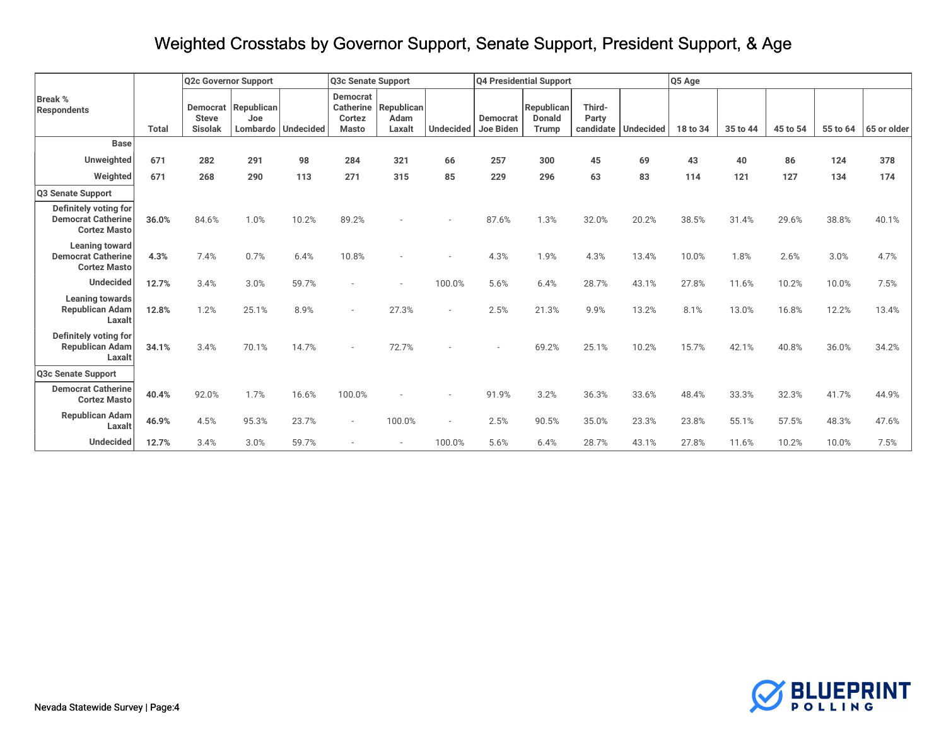|                                                                           |              | Q2c Governor Support           |                            |                      | Q3c Senate Support                                     |                                     |                  |                       | Q4 Presidential Support              |                 |                       | Q5 Age   |          |          |          |             |
|---------------------------------------------------------------------------|--------------|--------------------------------|----------------------------|----------------------|--------------------------------------------------------|-------------------------------------|------------------|-----------------------|--------------------------------------|-----------------|-----------------------|----------|----------|----------|----------|-------------|
| <b>Break %</b><br><b>Respondents</b>                                      | <b>Total</b> | <b>Steve</b><br><b>Sisolak</b> | Democrat Republican<br>Joe | Lombardo   Undecided | <b>Democrat</b><br>Catherine<br>Cortez<br><b>Masto</b> | Republican<br><b>Adam</b><br>Laxalt | <b>Undecided</b> | Democrat<br>Joe Biden | Republican<br><b>Donald</b><br>Trump | Third-<br>Party | candidate   Undecided | 18 to 34 | 35 to 44 | 45 to 54 | 55 to 64 | 65 or older |
| <b>Base</b>                                                               |              |                                |                            |                      |                                                        |                                     |                  |                       |                                      |                 |                       |          |          |          |          |             |
| Unweighted                                                                | 671          | 282                            | 291                        | 98                   | 284                                                    | 321                                 | 66               | 257                   | 300                                  | 45              | 69                    | 43       | 40       | 86       | 124      | 378         |
| Weighted                                                                  | 671          | 268                            | 290                        | 113                  | 271                                                    | 315                                 | 85               | 229                   | 296                                  | 63              | 83                    | 114      | 121      | 127      | 134      | 174         |
| Q3 Senate Support                                                         |              |                                |                            |                      |                                                        |                                     |                  |                       |                                      |                 |                       |          |          |          |          |             |
| Definitely voting for<br><b>Democrat Catherine</b><br><b>Cortez Masto</b> | 36.0%        | 84.6%                          | 1.0%                       | 10.2%                | 89.2%                                                  |                                     |                  | 87.6%                 | 1.3%                                 | 32.0%           | 20.2%                 | 38.5%    | 31.4%    | 29.6%    | 38.8%    | 40.1%       |
| Leaning toward<br><b>Democrat Catherine</b><br><b>Cortez Masto</b>        | 4.3%         | 7.4%                           | 0.7%                       | 6.4%                 | 10.8%                                                  |                                     |                  | 4.3%                  | 1.9%                                 | 4.3%            | 13.4%                 | 10.0%    | 1.8%     | 2.6%     | 3.0%     | 4.7%        |
| <b>Undecided</b>                                                          | 12.7%        | 3.4%                           | 3.0%                       | 59.7%                |                                                        |                                     | 100.0%           | 5.6%                  | 6.4%                                 | 28.7%           | 43.1%                 | 27.8%    | 11.6%    | 10.2%    | 10.0%    | 7.5%        |
| <b>Leaning towards</b><br><b>Republican Adam</b><br>Laxalt                | 12.8%        | 1.2%                           | 25.1%                      | 8.9%                 |                                                        | 27.3%                               | ÷.               | 2.5%                  | 21.3%                                | 9.9%            | 13.2%                 | 8.1%     | 13.0%    | 16.8%    | 12.2%    | 13.4%       |
| Definitely voting for<br><b>Republican Adam</b><br>Laxalt                 | 34.1%        | 3.4%                           | 70.1%                      | 14.7%                |                                                        | 72.7%                               |                  |                       | 69.2%                                | 25.1%           | 10.2%                 | 15.7%    | 42.1%    | 40.8%    | 36.0%    | 34.2%       |
| Q3c Senate Support                                                        |              |                                |                            |                      |                                                        |                                     |                  |                       |                                      |                 |                       |          |          |          |          |             |
| <b>Democrat Catherine</b><br><b>Cortez Masto</b>                          | 40.4%        | 92.0%                          | 1.7%                       | 16.6%                | 100.0%                                                 |                                     |                  | 91.9%                 | 3.2%                                 | 36.3%           | 33.6%                 | 48.4%    | 33.3%    | 32.3%    | 41.7%    | 44.9%       |
| <b>Republican Adam</b><br>Laxalt                                          | 46.9%        | 4.5%                           | 95.3%                      | 23.7%                |                                                        | 100.0%                              |                  | 2.5%                  | 90.5%                                | 35.0%           | 23.3%                 | 23.8%    | 55.1%    | 57.5%    | 48.3%    | 47.6%       |
| <b>Undecided</b>                                                          | 12.7%        | 3.4%                           | 3.0%                       | 59.7%                |                                                        |                                     | 100.0%           | 5.6%                  | 6.4%                                 | 28.7%           | 43.1%                 | 27.8%    | 11.6%    | 10.2%    | 10.0%    | 7.5%        |

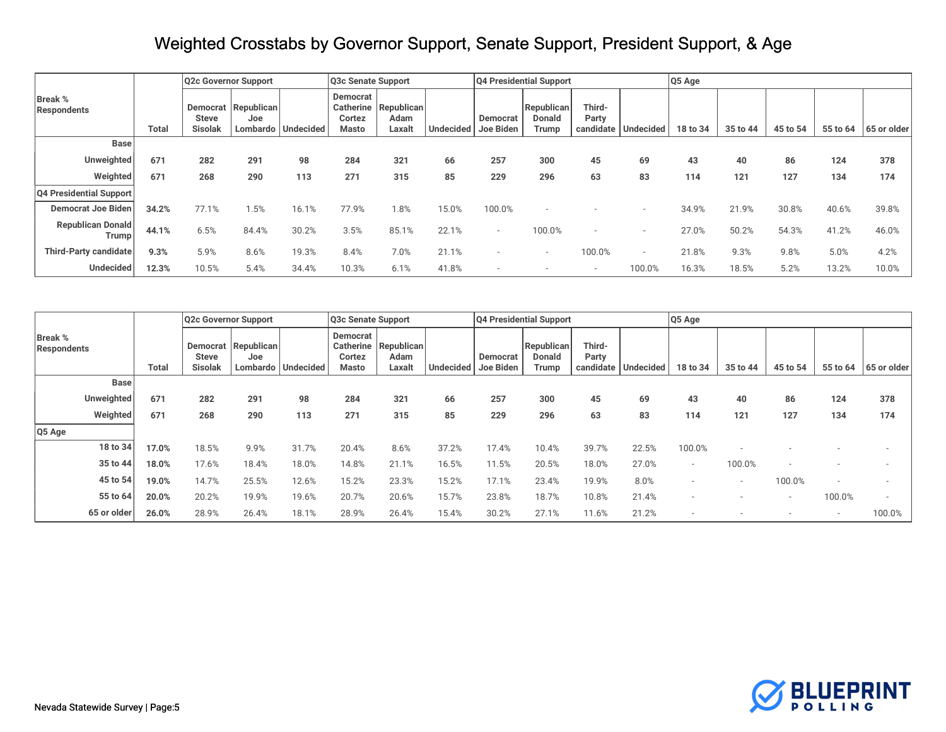|                                          |              | Q2c Governor Support    |                                        |           | Q3c Senate Support                              |                                     |                  | Q4 Presidential Support |                                             |                              |           | Q5 Age   |          |          |          |             |
|------------------------------------------|--------------|-------------------------|----------------------------------------|-----------|-------------------------------------------------|-------------------------------------|------------------|-------------------------|---------------------------------------------|------------------------------|-----------|----------|----------|----------|----------|-------------|
| <b>Break %</b><br>Respondents            | <b>Total</b> | <b>Steve</b><br>Sisolak | Democrat Republican<br>Joe<br>Lombardo | Undecided | Democrat<br><b>Catherine</b><br>Cortez<br>Masto | <b>Republican</b><br>Adam<br>Laxalt | <b>Undecided</b> | Democrat<br>Joe Biden   | <b>Republican</b><br><b>Donald</b><br>Trump | Third-<br>Party<br>candidate | Undecided | 18 to 34 | 35 to 44 | 45 to 54 | 55 to 64 | 65 or older |
| <b>Base</b>                              |              |                         |                                        |           |                                                 |                                     |                  |                         |                                             |                              |           |          |          |          |          |             |
| Unweighted                               | 671          | 282                     | 291                                    | 98        | 284                                             | 321                                 | 66               | 257                     | 300                                         | 45                           | 69        | 43       | 40       | 86       | 124      | 378         |
| Weighted                                 | 671          | 268                     | 290                                    | 113       | 271                                             | 315                                 | 85               | 229                     | 296                                         | 63                           | 83        | 114      | 121      | 127      | 134      | 174         |
| <b>Q4 Presidential Support</b>           |              |                         |                                        |           |                                                 |                                     |                  |                         |                                             |                              |           |          |          |          |          |             |
| <b>Democrat Joe Biden</b>                | 34.2%        | 77.1%                   | 1.5%                                   | 16.1%     | 77.9%                                           | .8%                                 | 5.0%             | 100.0%                  |                                             |                              |           | 34.9%    | 21.9%    | 30.8%    | 40.6%    | 39.8%       |
| <b>Republican Donald</b><br><b>Trump</b> | 44.1%        | 6.5%                    | 84.4%                                  | 30.2%     | 3.5%                                            | 85.1%                               | 22.1%            | $\sim$                  | 100.0%                                      |                              |           | 27.0%    | 50.2%    | 54.3%    | 41.2%    | 46.0%       |
| Third-Party candidate                    | 9.3%         | 5.9%                    | 8.6%                                   | 19.3%     | 8.4%                                            | 7.0%                                | 21.1%            |                         |                                             | 100.0%                       | $\sim$    | 21.8%    | 9.3%     | 9.8%     | 5.0%     | 4.2%        |
| <b>Undecided</b>                         | 12.3%        | 10.5%                   | 5.4%                                   | 34.4%     | 10.3%                                           | 6.1%                                | 41.8%            |                         |                                             | $\sim$                       | 100.0%    | 16.3%    | 18.5%    | 5.2%     | 13.2%    | 10.0%       |

|                               |             |              |                                | Q2c Governor Support           |                      | Q3c Senate Support          |                                            |           |                              | Q4 Presidential Support              |                                        |       | Q5 Age   |          |                          |                          |             |
|-------------------------------|-------------|--------------|--------------------------------|--------------------------------|----------------------|-----------------------------|--------------------------------------------|-----------|------------------------------|--------------------------------------|----------------------------------------|-------|----------|----------|--------------------------|--------------------------|-------------|
| <b>Break %</b><br>Respondents |             | <b>Total</b> | <b>Steve</b><br><b>Sisolak</b> | Democrat   Republican  <br>Joe | Lombardo   Undecided | Democrat<br>Cortez<br>Masto | Catherine   Republican  <br>Adam<br>Laxalt | Undecided | <b>Democrat</b><br>Joe Biden | Republican<br><b>Donald</b><br>Trump | Third-<br>Party<br>candidate Undecided |       | 18 to 34 | 35 to 44 | 45 to 54                 | 55 to 64                 | 65 or older |
|                               | <b>Base</b> |              |                                |                                |                      |                             |                                            |           |                              |                                      |                                        |       |          |          |                          |                          |             |
|                               | Unweighted  | 671          | 282                            | 291                            | 98                   | 284                         | 321                                        | 66        | 257                          | 300                                  | 45                                     | 69    | 43       | 40       | 86                       | 124                      | 378         |
|                               | Weighted    | 671          | 268                            | 290                            | 113                  | 271                         | 315                                        | 85        | 229                          | 296                                  | 63                                     | 83    | 114      | 121      | 127                      | 134                      | 174         |
| $Q5$ Age                      |             |              |                                |                                |                      |                             |                                            |           |                              |                                      |                                        |       |          |          |                          |                          |             |
|                               | 18 to 34    | 17.0%        | 18.5%                          | 9.9%                           | 31.7%                | 20.4%                       | 8.6%                                       | 37.2%     | 17.4%                        | 10.4%                                | 39.7%                                  | 22.5% | 100.0%   |          |                          |                          |             |
|                               | 35 to 44    | 18.0%        | 17.6%                          | 18.4%                          | 18.0%                | 14.8%                       | 21.1%                                      | 16.5%     | 11.5%                        | 20.5%                                | 18.0%                                  | 27.0% |          | 100.0%   |                          |                          |             |
|                               | 45 to 54    | 19.0%        | 14.7%                          | 25.5%                          | 12.6%                | 15.2%                       | 23.3%                                      | 15.2%     | 17.1%                        | 23.4%                                | 19.9%                                  | 8.0%  |          | $\sim$   | 100.0%                   |                          |             |
|                               | 55 to 64    | 20.0%        | 20.2%                          | 19.9%                          | 19.6%                | 20.7%                       | 20.6%                                      | 15.7%     | 23.8%                        | 18.7%                                | 10.8%                                  | 21.4% |          |          | $\overline{\phantom{a}}$ | 100.0%                   | $\sim$      |
|                               | 65 or older | 26.0%        | 28.9%                          | 26.4%                          | 18.1%                | 28.9%                       | 26.4%                                      | 15.4%     | 30.2%                        | 27.1%                                | 11.6%                                  | 21.2% |          |          |                          | $\overline{\phantom{a}}$ | 100.0%      |

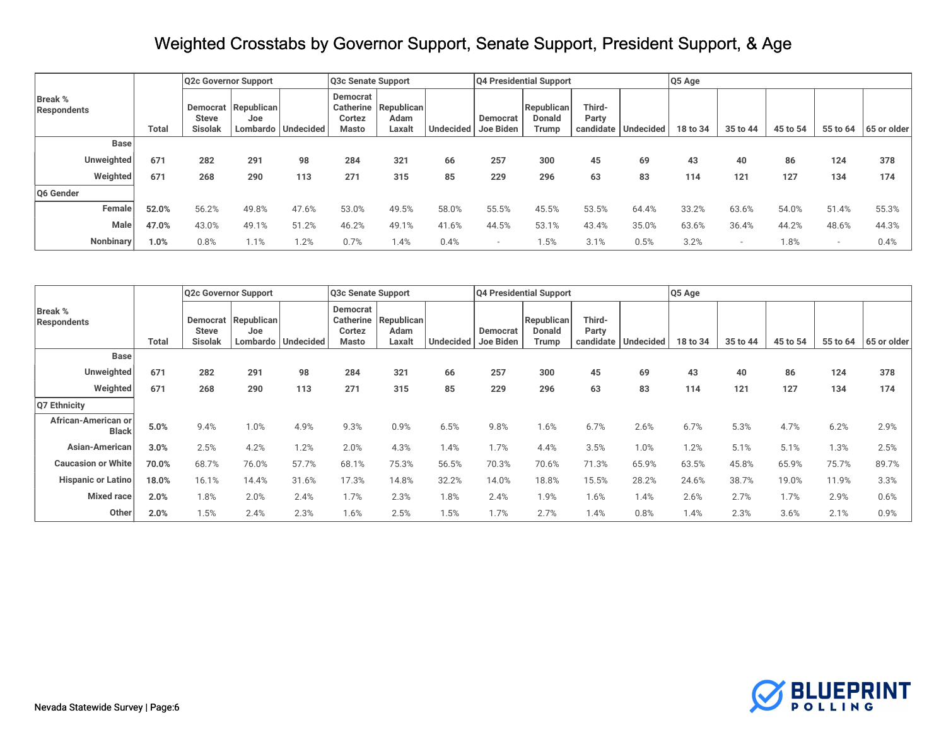|                               |       | Q2c Governor Support                |                               |           | Q3c Senate Support                       |                              |       |                                 | Q4 Presidential Support       |                              |                  | Q5 Age   |                          |          |          |             |
|-------------------------------|-------|-------------------------------------|-------------------------------|-----------|------------------------------------------|------------------------------|-------|---------------------------------|-------------------------------|------------------------------|------------------|----------|--------------------------|----------|----------|-------------|
| <b>Break %</b><br>Respondents | Total | Democrat<br>Steve<br><b>Sisolak</b> | Republican<br>Joe<br>Lombardo | Undecided | Democrat<br>Catherine<br>Cortez<br>Masto | Republican<br>Adam<br>Laxalt |       | Democrat<br>Undecided Joe Biden | Republican<br>Donald<br>Trump | Third-<br>Party<br>candidate | <b>Undecided</b> | 18 to 34 | 35 to 44                 | 45 to 54 | 55 to 64 | 65 or older |
| <b>Base</b>                   |       |                                     |                               |           |                                          |                              |       |                                 |                               |                              |                  |          |                          |          |          |             |
| Unweighted                    | 671   | 282                                 | 291                           | 98        | 284                                      | 321                          | 66    | 257                             | 300                           | 45                           | 69               | 43       | 40                       | 86       | 124      | 378         |
| Weighted                      | 671   | 268                                 | 290                           | 113       | 271                                      | 315                          | 85    | 229                             | 296                           | 63                           | 83               | 114      | 121                      | 127      | 134      | 174         |
| Q6 Gender                     |       |                                     |                               |           |                                          |                              |       |                                 |                               |                              |                  |          |                          |          |          |             |
| Female                        | 52.0% | 56.2%                               | 49.8%                         | 47.6%     | 53.0%                                    | 49.5%                        | 58.0% | 55.5%                           | 45.5%                         | 53.5%                        | 64.4%            | 33.2%    | 63.6%                    | 54.0%    | 51.4%    | 55.3%       |
| Male                          | 47.0% | 43.0%                               | 49.1%                         | 51.2%     | 46.2%                                    | 49.1%                        | 41.6% | 44.5%                           | 53.1%                         | 43.4%                        | 35.0%            | 63.6%    | 36.4%                    | 44.2%    | 48.6%    | 44.3%       |
| Nonbinary                     | 1.0%  | 0.8%                                | 1.1%                          | 1.2%      | 0.7%                                     | .4%                          | 0.4%  | $\overline{\phantom{a}}$        | 1.5%                          | 3.1%                         | 0.5%             | 3.2%     | $\overline{\phantom{a}}$ | 1.8%     |          | 0.4%        |

|                                     |              |                                                   | Q2c Governor Support |                      | Q <sub>3</sub> c Senate Support          |                              |                  |                       | Q4 Presidential Support              |                 |                     | Q5 Age   |          |          |          |             |
|-------------------------------------|--------------|---------------------------------------------------|----------------------|----------------------|------------------------------------------|------------------------------|------------------|-----------------------|--------------------------------------|-----------------|---------------------|----------|----------|----------|----------|-------------|
| <b>Break %</b><br>Respondents       | <b>Total</b> | <b>Democrat</b><br><b>Steve</b><br><b>Sisolak</b> | Republican<br>Joe    | Lombardo   Undecided | Democrat<br>Catherine<br>Cortez<br>Masto | Republican<br>Adam<br>Laxalt | <b>Undecided</b> | Democrat<br>Joe Biden | Republican<br><b>Donald</b><br>Trump | Third-<br>Party | candidate Undecided | 18 to 34 | 35 to 44 | 45 to 54 | 55 to 64 | 65 or older |
| <b>Base</b>                         |              |                                                   |                      |                      |                                          |                              |                  |                       |                                      |                 |                     |          |          |          |          |             |
| Unweighted                          | 671          | 282                                               | 291                  | 98                   | 284                                      | 321                          | 66               | 257                   | 300                                  | 45              | 69                  | 43       | 40       | 86       | 124      | 378         |
| Weighted                            | 671          | 268                                               | 290                  | 113                  | 271                                      | 315                          | 85               | 229                   | 296                                  | 63              | 83                  | 114      | 121      | 127      | 134      | 174         |
| Q7 Ethnicity                        |              |                                                   |                      |                      |                                          |                              |                  |                       |                                      |                 |                     |          |          |          |          |             |
| African-American or<br><b>Black</b> | 5.0%         | 9.4%                                              | 1.0%                 | 4.9%                 | 9.3%                                     | 0.9%                         | 6.5%             | 9.8%                  | $1.6\%$                              | 6.7%            | 2.6%                | 6.7%     | 5.3%     | 4.7%     | 6.2%     | 2.9%        |
| Asian-American                      | 3.0%         | 2.5%                                              | 4.2%                 | 1.2%                 | 2.0%                                     | 4.3%                         | 1.4%             | 1.7%                  | 4.4%                                 | 3.5%            | 1.0%                | 1.2%     | 5.1%     | 5.1%     | 1.3%     | 2.5%        |
| <b>Caucasion or White</b>           | 70.0%        | 68.7%                                             | 76.0%                | 57.7%                | 68.1%                                    | 75.3%                        | 56.5%            | 70.3%                 | 70.6%                                | 71.3%           | 65.9%               | 63.5%    | 45.8%    | 65.9%    | 75.7%    | 89.7%       |
| <b>Hispanic or Latino</b>           | 18.0%        | 16.1%                                             | 14.4%                | 31.6%                | 17.3%                                    | 14.8%                        | 32.2%            | 14.0%                 | 18.8%                                | 15.5%           | 28.2%               | 24.6%    | 38.7%    | 19.0%    | 11.9%    | 3.3%        |
| Mixed race                          | 2.0%         | 1.8%                                              | 2.0%                 | 2.4%                 | 1.7%                                     | 2.3%                         | 1.8%             | 2.4%                  | 1.9%                                 | 1.6%            | 1.4%                | 2.6%     | 2.7%     | 1.7%     | 2.9%     | 0.6%        |
| Other                               | 2.0%         | 1.5%                                              | 2.4%                 | 2.3%                 | 1.6%                                     | 2.5%                         | 1.5%             | 1.7%                  | 2.7%                                 | 1.4%            | 0.8%                | 1.4%     | 2.3%     | 3.6%     | 2.1%     | 0.9%        |

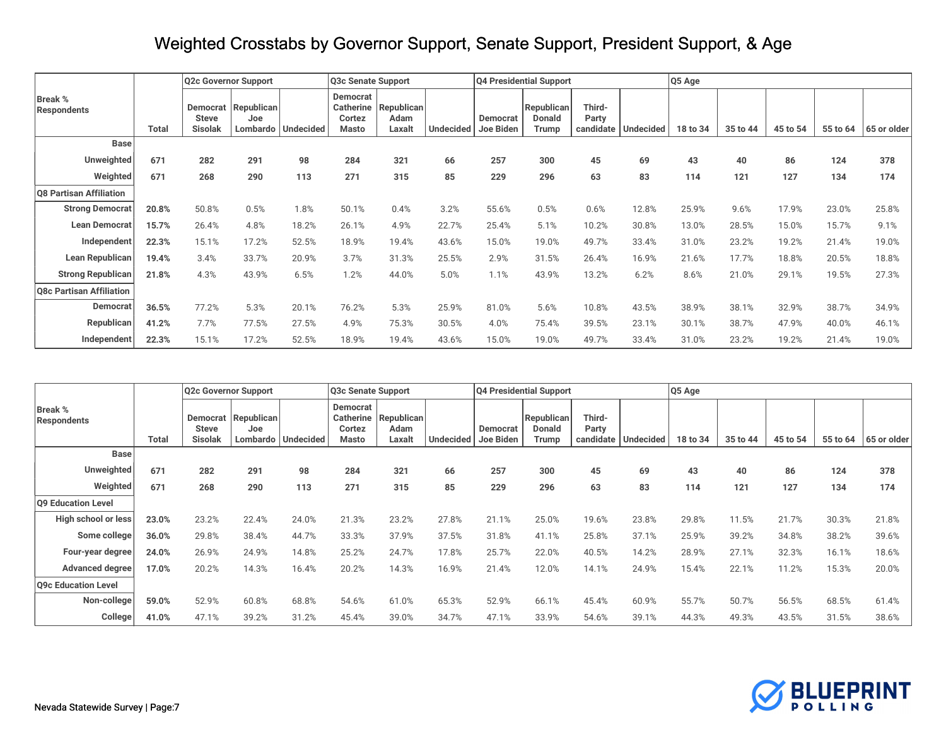|                               |              |                                            | Q2c Governor Support |                      | Q3c Senate Support                                            |                              |                  |                       | Q4 Presidential Support       |                              |                  | Q5 Age   |          |          |          |             |
|-------------------------------|--------------|--------------------------------------------|----------------------|----------------------|---------------------------------------------------------------|------------------------------|------------------|-----------------------|-------------------------------|------------------------------|------------------|----------|----------|----------|----------|-------------|
| Break %<br><b>Respondents</b> | <b>Total</b> | Democrat<br><b>Steve</b><br><b>Sisolak</b> | Republican<br>Joe    | Lombardo   Undecided | <b>Democrat</b><br><b>Catherine</b><br>Cortez<br><b>Masto</b> | Republican<br>Adam<br>Laxalt | <b>Undecided</b> | Democrat<br>Joe Biden | Republican<br>Donald<br>Trump | Third-<br>Party<br>candidate | <b>Undecided</b> | 18 to 34 | 35 to 44 | 45 to 54 | 55 to 64 | 65 or older |
| <b>Base</b>                   |              |                                            |                      |                      |                                                               |                              |                  |                       |                               |                              |                  |          |          |          |          |             |
| Unweighted                    | 671          | 282                                        | 291                  | 98                   | 284                                                           | 321                          | 66               | 257                   | 300                           | 45                           | 69               | 43       | 40       | 86       | 124      | 378         |
| Weighted                      | 671          | 268                                        | 290                  | 113                  | 271                                                           | 315                          | 85               | 229                   | 296                           | 63                           | 83               | 114      | 121      | 127      | 134      | 174         |
| Q8 Partisan Affiliation       |              |                                            |                      |                      |                                                               |                              |                  |                       |                               |                              |                  |          |          |          |          |             |
| <b>Strong Democrat</b>        | 20.8%        | 50.8%                                      | 0.5%                 | 1.8%                 | 50.1%                                                         | 0.4%                         | 3.2%             | 55.6%                 | 0.5%                          | 0.6%                         | 12.8%            | 25.9%    | 9.6%     | 17.9%    | 23.0%    | 25.8%       |
| <b>Lean Democrat</b>          | 15.7%        | 26.4%                                      | 4.8%                 | 18.2%                | 26.1%                                                         | 4.9%                         | 22.7%            | 25.4%                 | 5.1%                          | 10.2%                        | 30.8%            | 13.0%    | 28.5%    | 15.0%    | 15.7%    | 9.1%        |
| Independent                   | 22.3%        | 15.1%                                      | 17.2%                | 52.5%                | 18.9%                                                         | 19.4%                        | 43.6%            | 15.0%                 | 19.0%                         | 49.7%                        | 33.4%            | 31.0%    | 23.2%    | 19.2%    | 21.4%    | 19.0%       |
| Lean Republican               | 19.4%        | 3.4%                                       | 33.7%                | 20.9%                | 3.7%                                                          | 31.3%                        | 25.5%            | 2.9%                  | 31.5%                         | 26.4%                        | 16.9%            | 21.6%    | 17.7%    | 18.8%    | 20.5%    | 18.8%       |
| <b>Strong Republican</b>      | 21.8%        | 4.3%                                       | 43.9%                | 6.5%                 | 1.2%                                                          | 44.0%                        | 5.0%             | 1.1%                  | 43.9%                         | 13.2%                        | 6.2%             | 8.6%     | 21.0%    | 29.1%    | 19.5%    | 27.3%       |
| Q8c Partisan Affiliation      |              |                                            |                      |                      |                                                               |                              |                  |                       |                               |                              |                  |          |          |          |          |             |
| Democrat                      | 36.5%        | 77.2%                                      | 5.3%                 | 20.1%                | 76.2%                                                         | 5.3%                         | 25.9%            | 81.0%                 | 5.6%                          | 10.8%                        | 43.5%            | 38.9%    | 38.1%    | 32.9%    | 38.7%    | 34.9%       |
| Republican                    | 41.2%        | 7.7%                                       | 77.5%                | 27.5%                | 4.9%                                                          | 75.3%                        | 30.5%            | 4.0%                  | 75.4%                         | 39.5%                        | 23.1%            | 30.1%    | 38.7%    | 47.9%    | 40.0%    | 46.1%       |
| Independent                   | 22.3%        | 15.1%                                      | 17.2%                | 52.5%                | 18.9%                                                         | 19.4%                        | 43.6%            | 15.0%                 | 19.0%                         | 49.7%                        | 33.4%            | 31.0%    | 23.2%    | 19.2%    | 21.4%    | 19.0%       |

|                                      |              |                                                   | Q2c Governor Support |                      | Q3c Senate Support                                     |                                     |                     |          | Q4 Presidential Support              |                 |                       | Q5 Age   |          |          |          |             |
|--------------------------------------|--------------|---------------------------------------------------|----------------------|----------------------|--------------------------------------------------------|-------------------------------------|---------------------|----------|--------------------------------------|-----------------|-----------------------|----------|----------|----------|----------|-------------|
| <b>Break %</b><br><b>Respondents</b> | <b>Total</b> | <b>Democrat</b><br><b>Steve</b><br><b>Sisolak</b> | Republican<br>Joe    | Lombardo   Undecided | <b>Democrat</b><br><b>Catherine</b><br>Cortez<br>Masto | <b>Republican</b><br>Adam<br>Laxalt | Undecided Joe Biden | Democrat | Republican<br><b>Donald</b><br>Trump | Third-<br>Party | candidate   Undecided | 18 to 34 | 35 to 44 | 45 to 54 | 55 to 64 | 65 or older |
| <b>Base</b>                          |              |                                                   |                      |                      |                                                        |                                     |                     |          |                                      |                 |                       |          |          |          |          |             |
| Unweighted                           | 671          | 282                                               | 291                  | 98                   | 284                                                    | 321                                 | 66                  | 257      | 300                                  | 45              | 69                    | 43       | 40       | 86       | 124      | 378         |
| Weighted                             | 671          | 268                                               | 290                  | 113                  | 271                                                    | 315                                 | 85                  | 229      | 296                                  | 63              | 83                    | 114      | 121      | 127      | 134      | 174         |
| Q9 Education Level                   |              |                                                   |                      |                      |                                                        |                                     |                     |          |                                      |                 |                       |          |          |          |          |             |
| High school or less                  | 23.0%        | 23.2%                                             | 22.4%                | 24.0%                | 21.3%                                                  | 23.2%                               | 27.8%               | 21.1%    | 25.0%                                | 19.6%           | 23.8%                 | 29.8%    | 11.5%    | 21.7%    | 30.3%    | 21.8%       |
| Some college                         | 36.0%        | 29.8%                                             | 38.4%                | 44.7%                | 33.3%                                                  | 37.9%                               | 37.5%               | 31.8%    | 41.1%                                | 25.8%           | 37.1%                 | 25.9%    | 39.2%    | 34.8%    | 38.2%    | 39.6%       |
| Four-year degree                     | 24.0%        | 26.9%                                             | 24.9%                | 14.8%                | 25.2%                                                  | 24.7%                               | 17.8%               | 25.7%    | 22.0%                                | 40.5%           | 14.2%                 | 28.9%    | 27.1%    | 32.3%    | 16.1%    | 18.6%       |
| <b>Advanced degree</b>               | 17.0%        | 20.2%                                             | 14.3%                | 16.4%                | 20.2%                                                  | 14.3%                               | 16.9%               | 21.4%    | 12.0%                                | 14.1%           | 24.9%                 | 15.4%    | 22.1%    | 11.2%    | 15.3%    | 20.0%       |
| Q9c Education Level                  |              |                                                   |                      |                      |                                                        |                                     |                     |          |                                      |                 |                       |          |          |          |          |             |
| Non-college                          | 59.0%        | 52.9%                                             | 60.8%                | 68.8%                | 54.6%                                                  | 61.0%                               | 65.3%               | 52.9%    | 66.1%                                | 45.4%           | 60.9%                 | 55.7%    | 50.7%    | 56.5%    | 68.5%    | 61.4%       |
| College                              | 41.0%        | 47.1%                                             | 39.2%                | 31.2%                | 45.4%                                                  | 39.0%                               | 34.7%               | 47.1%    | 33.9%                                | 54.6%           | 39.1%                 | 44.3%    | 49.3%    | 43.5%    | 31.5%    | 38.6%       |

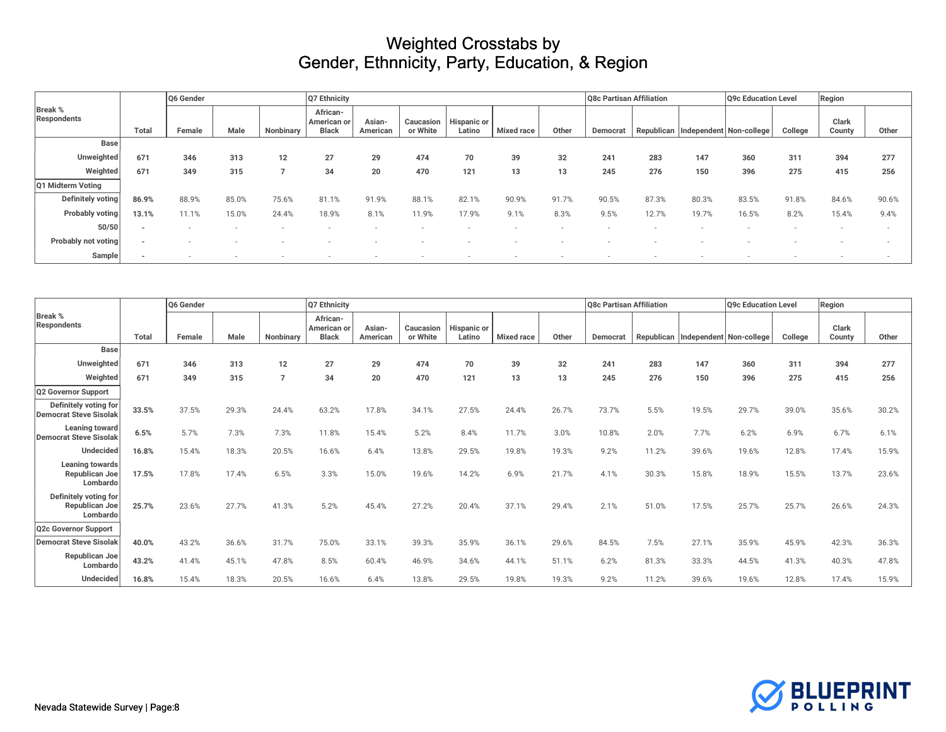|                               |       | Q6 Gender |       |           | Q7 Ethnicity                            |                    |                       |                       |                   |       | Q8c Partisan Affiliation |            |                         | Q9c Education Level |         | Region          |       |
|-------------------------------|-------|-----------|-------|-----------|-----------------------------------------|--------------------|-----------------------|-----------------------|-------------------|-------|--------------------------|------------|-------------------------|---------------------|---------|-----------------|-------|
| <b>Break %</b><br>Respondents | Total | Female    | Male  | Nonbinary | African-<br>American or<br><b>Black</b> | Asian-<br>American | Caucasion<br>or White | Hispanic or<br>Latino | <b>Mixed race</b> | Other | Democrat                 | Republican | Independent Non-college |                     | College | Clark<br>County | Other |
| Base                          |       |           |       |           |                                         |                    |                       |                       |                   |       |                          |            |                         |                     |         |                 |       |
| Unweighted                    | 671   | 346       | 313   | 12        | 27                                      | 29                 | 474                   | 70                    | 39                | 32    | 241                      | 283        | 147                     | 360                 | 311     | 394             | 277   |
| Weighted                      | 671   | 349       | 315   |           | 34                                      | 20                 | 470                   | 121                   | 13                | 13    | 245                      | 276        | 150                     | 396                 | 275     | 415             | 256   |
| Q1 Midterm Voting             |       |           |       |           |                                         |                    |                       |                       |                   |       |                          |            |                         |                     |         |                 |       |
| Definitely voting             | 86.9% | 88.9%     | 85.0% | 75.6%     | 81.1%                                   | 91.9%              | 88.1%                 | 82.1%                 | 90.9%             | 91.7% | 90.5%                    | 87.3%      | 80.3%                   | 83.5%               | 91.8%   | 84.6%           | 90.6% |
| Probably voting               | 13.1% | 11.1%     | 15.0% | 24.4%     | 18.9%                                   | 8.1%               | 11.9%                 | 17.9%                 | 9.1%              | 8.3%  | 9.5%                     | 12.7%      | 19.7%                   | 16.5%               | 8.2%    | 15.4%           | 9.4%  |
| 50/50                         |       |           |       |           |                                         |                    |                       |                       |                   |       |                          |            |                         |                     |         |                 |       |
| Probably not voting           |       |           |       |           |                                         |                    |                       |                       |                   |       |                          |            |                         |                     |         |                 |       |
| Sample                        |       |           |       |           |                                         |                    |                       |                       |                   |       |                          |            |                         |                     |         |                 |       |

|                                                     |       | Q6 Gender |       |           | Q7 Ethnicity                            |                    |                       |                       |                   |       | Q8c Partisan Affiliation |            |       | Q9c Education Level     |         | Region          |       |
|-----------------------------------------------------|-------|-----------|-------|-----------|-----------------------------------------|--------------------|-----------------------|-----------------------|-------------------|-------|--------------------------|------------|-------|-------------------------|---------|-----------------|-------|
| <b>Break %</b><br><b>Respondents</b>                | Total | Female    | Male  | Nonbinary | African-<br>American or<br><b>Black</b> | Asian-<br>American | Caucasion<br>or White | Hispanic or<br>Latino | <b>Mixed race</b> | Other | Democrat                 | Republican |       | Independent Non-college | College | Clark<br>County | Other |
| <b>Base</b>                                         |       |           |       |           |                                         |                    |                       |                       |                   |       |                          |            |       |                         |         |                 |       |
| Unweighted                                          | 671   | 346       | 313   | 12        | 27                                      | 29                 | 474                   | 70                    | 39                | 32    | 241                      | 283        | 147   | 360                     | 311     | 394             | 277   |
| Weighted                                            | 671   | 349       | 315   |           | 34                                      | 20                 | 470                   | 121                   | 13                | 13    | 245                      | 276        | 150   | 396                     | 275     | 415             | 256   |
| Q2 Governor Support                                 |       |           |       |           |                                         |                    |                       |                       |                   |       |                          |            |       |                         |         |                 |       |
| Definitely voting for<br>Democrat Steve Sisolak     | 33.5% | 37.5%     | 29.3% | 24.4%     | 63.2%                                   | 17.8%              | 34.1%                 | 27.5%                 | 24.4%             | 26.7% | 73.7%                    | 5.5%       | 19.5% | 29.7%                   | 39.0%   | 35.6%           | 30.2% |
| Leaning toward<br>Democrat Steve Sisolak            | 6.5%  | 5.7%      | 7.3%  | 7.3%      | 11.8%                                   | 15.4%              | 5.2%                  | 8.4%                  | 11.7%             | 3.0%  | 10.8%                    | 2.0%       | 7.7%  | 6.2%                    | 6.9%    | 6.7%            | 6.1%  |
| <b>Undecided</b>                                    | 16.8% | 15.4%     | 18.3% | 20.5%     | 16.6%                                   | 6.4%               | 13.8%                 | 29.5%                 | 19.8%             | 19.3% | 9.2%                     | 11.2%      | 39.6% | 19.6%                   | 12.8%   | 17.4%           | 15.9% |
| Leaning towards<br>Republican Joe<br>Lombardo       | 17.5% | 17.8%     | 17.4% | 6.5%      | 3.3%                                    | 15.0%              | 19.6%                 | 14.2%                 | 6.9%              | 21.7% | 4.1%                     | 30.3%      | 15.8% | 18.9%                   | 15.5%   | 13.7%           | 23.6% |
| Definitely voting for<br>Republican Joe<br>Lombardo | 25.7% | 23.6%     | 27.7% | 41.3%     | 5.2%                                    | 45.4%              | 27.2%                 | 20.4%                 | 37.1%             | 29.4% | 2.1%                     | 51.0%      | 17.5% | 25.7%                   | 25.7%   | 26.6%           | 24.3% |
| Q2c Governor Support                                |       |           |       |           |                                         |                    |                       |                       |                   |       |                          |            |       |                         |         |                 |       |
| <b>Democrat Steve Sisolak</b>                       | 40.0% | 43.2%     | 36.6% | 31.7%     | 75.0%                                   | 33.1%              | 39.3%                 | 35.9%                 | 36.1%             | 29.6% | 84.5%                    | 7.5%       | 27.1% | 35.9%                   | 45.9%   | 42.3%           | 36.3% |
| Republican Joe<br>Lombardo                          | 43.2% | 41.4%     | 45.1% | 47.8%     | 8.5%                                    | 60.4%              | 46.9%                 | 34.6%                 | 44.1%             | 51.1% | 6.2%                     | 81.3%      | 33.3% | 44.5%                   | 41.3%   | 40.3%           | 47.8% |
| Undecided                                           | 16.8% | 15.4%     | 18.3% | 20.5%     | 16.6%                                   | 6.4%               | 13.8%                 | 29.5%                 | 19.8%             | 19.3% | 9.2%                     | 11.2%      | 39.6% | 19.6%                   | 12.8%   | 17.4%           | 15.9% |

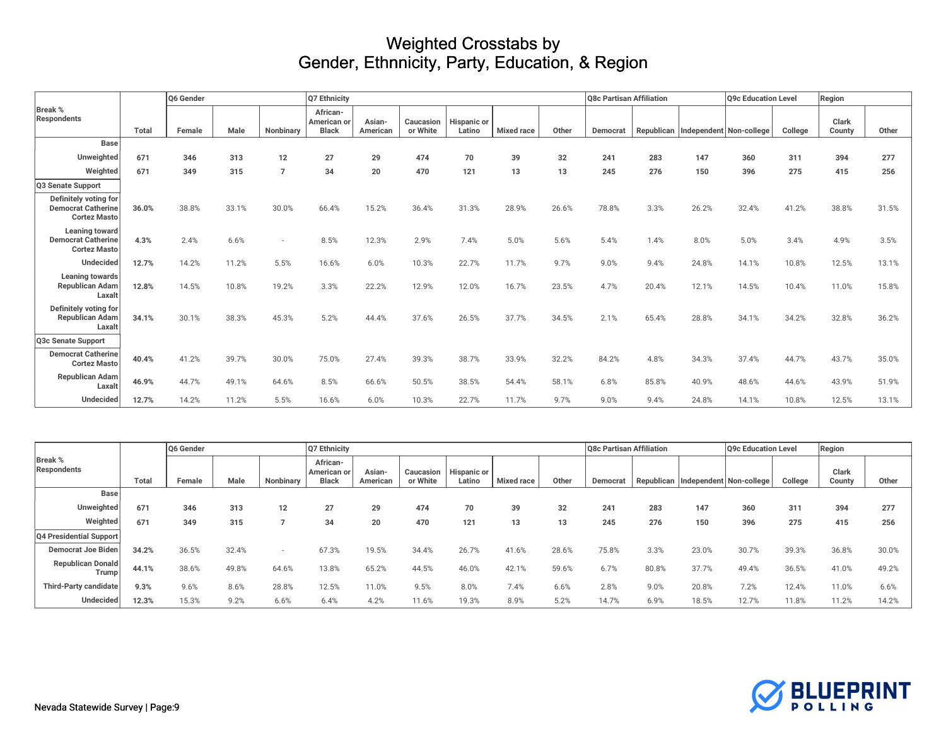|                                                                           |       | Q6 Gender |       |           | Q7 Ethnicity                            |                    |                       |                       |                   |       | Q8c Partisan Affiliation |       |       | <b>Q9c Education Level</b>             |         | Region          |       |
|---------------------------------------------------------------------------|-------|-----------|-------|-----------|-----------------------------------------|--------------------|-----------------------|-----------------------|-------------------|-------|--------------------------|-------|-------|----------------------------------------|---------|-----------------|-------|
| <b>Break %</b><br><b>Respondents</b>                                      | Total | Female    | Male  | Nonbinary | African-<br>American or<br><b>Black</b> | Asian-<br>American | Caucasion<br>or White | Hispanic or<br>Latino | <b>Mixed race</b> | Other | Democrat                 |       |       | Republican   Independent   Non-college | College | Clark<br>County | Other |
| <b>Base</b>                                                               |       |           |       |           |                                         |                    |                       |                       |                   |       |                          |       |       |                                        |         |                 |       |
| Unweighted                                                                | 671   | 346       | 313   | 12        | 27                                      | 29                 | 474                   | 70                    | 39                | 32    | 241                      | 283   | 147   | 360                                    | 311     | 394             | 277   |
| Weighted                                                                  | 671   | 349       | 315   |           | 34                                      | $20\,$             | 470                   | 121                   | 13                | 13    | 245                      | 276   | 150   | 396                                    | 275     | 415             | 256   |
| Q3 Senate Support                                                         |       |           |       |           |                                         |                    |                       |                       |                   |       |                          |       |       |                                        |         |                 |       |
| Definitely voting for<br><b>Democrat Catherine</b><br><b>Cortez Masto</b> | 36.0% | 38.8%     | 33.1% | 30.0%     | 66.4%                                   | 15.2%              | 36.4%                 | 31.3%                 | 28.9%             | 26.6% | 78.8%                    | 3.3%  | 26.2% | 32.4%                                  | 41.2%   | 38.8%           | 31.5% |
| Leaning toward<br><b>Democrat Catherine</b><br><b>Cortez Masto</b>        | 4.3%  | 2.4%      | 6.6%  |           | 8.5%                                    | 12.3%              | 2.9%                  | 7.4%                  | 5.0%              | 5.6%  | 5.4%                     | 1.4%  | 8.0%  | 5.0%                                   | 3.4%    | 4.9%            | 3.5%  |
| Undecided                                                                 | 12.7% | 14.2%     | 11.2% | 5.5%      | 16.6%                                   | 6.0%               | 10.3%                 | 22.7%                 | 11.7%             | 9.7%  | 9.0%                     | 9.4%  | 24.8% | 14.1%                                  | 10.8%   | 12.5%           | 13.1% |
| <b>Leaning towards</b><br><b>Republican Adam</b><br>Laxalt                | 12.8% | 14.5%     | 10.8% | 19.2%     | 3.3%                                    | 22.2%              | 12.9%                 | 12.0%                 | 16.7%             | 23.5% | 4.7%                     | 20.4% | 12.1% | 14.5%                                  | 10.4%   | 11.0%           | 15.8% |
| Definitely voting for<br><b>Republican Adam</b><br>Laxalt                 | 34.1% | 30.1%     | 38.3% | 45.3%     | 5.2%                                    | 44.4%              | 37.6%                 | 26.5%                 | 37.7%             | 34.5% | 2.1%                     | 65.4% | 28.8% | 34.1%                                  | 34.2%   | 32.8%           | 36.2% |
| Q3c Senate Support                                                        |       |           |       |           |                                         |                    |                       |                       |                   |       |                          |       |       |                                        |         |                 |       |
| <b>Democrat Catherine</b><br><b>Cortez Masto</b>                          | 40.4% | 41.2%     | 39.7% | 30.0%     | 75.0%                                   | 27.4%              | 39.3%                 | 38.7%                 | 33.9%             | 32.2% | 84.2%                    | 4.8%  | 34.3% | 37.4%                                  | 44.7%   | 43.7%           | 35.0% |
| <b>Republican Adam</b><br>Laxal                                           | 46.9% | 44.7%     | 49.1% | 64.6%     | 8.5%                                    | 66.6%              | 50.5%                 | 38.5%                 | 54.4%             | 58.1% | 6.8%                     | 85.8% | 40.9% | 48.6%                                  | 44.6%   | 43.9%           | 51.9% |
| Undecided                                                                 | 12.7% | 14.2%     | 11.2% | 5.5%      | 16.6%                                   | 6.0%               | 10.3%                 | 22.7%                 | 11.7%             | 9.7%  | 9.0%                     | 9.4%  | 24.8% | 14.1%                                  | 10.8%   | 12.5%           | 13.1% |

|                               | Q6 Gender |        |       |           | Q7 Ethnicity                            |                    |          |                                   |                   |       | Q8c Partisan Affiliation |       |       | Q9c Education Level                |         | Region          |       |
|-------------------------------|-----------|--------|-------|-----------|-----------------------------------------|--------------------|----------|-----------------------------------|-------------------|-------|--------------------------|-------|-------|------------------------------------|---------|-----------------|-------|
| <b>Break %</b><br>Respondents | Total     | Female | Male  | Nonbinary | African-<br>American or<br><b>Black</b> | Asian-<br>American | or White | Caucasion   Hispanic or<br>Latino | <b>Mixed race</b> | Other | Democrat                 |       |       | Republican Independent Non-college | College | Clark<br>County | Other |
| <b>Base</b>                   |           |        |       |           |                                         |                    |          |                                   |                   |       |                          |       |       |                                    |         |                 |       |
| Unweighted                    | 671       | 346    | 313   | 12        | 27                                      | 29                 | 474      | 70                                | 39                | 32    | 241                      | 283   | 147   | 360                                | 311     | 394             | 277   |
| Weighted                      | 671       | 349    | 315   |           | 34                                      | 20                 | 470      | 121                               | 13                | 13    | 245                      | 276   | 150   | 396                                | 275     | 415             | 256   |
| Q4 Presidential Support       |           |        |       |           |                                         |                    |          |                                   |                   |       |                          |       |       |                                    |         |                 |       |
| Democrat Joe Biden            | 34.2%     | 36.5%  | 32.4% |           | 67.3%                                   | 19.5%              | 34.4%    | 26.7%                             | 41.6%             | 28.6% | 75.8%                    | 3.3%  | 23.0% | 30.7%                              | 39.3%   | 36.8%           | 30.0% |
| Republican Donald<br>Trump    | 44.1%     | 38.6%  | 49.8% | 64.6%     | 13.8%                                   | 65.2%              | 44.5%    | 46.0%                             | 42.1%             | 59.6% | 6.7%                     | 80.8% | 37.7% | 49.4%                              | 36.5%   | 41.0%           | 49.2% |
| Third-Party candidate         | 9.3%      | 9.6%   | 8.6%  | 28.8%     | 12.5%                                   | 11.0%              | 9.5%     | 8.0%                              | 7.4%              | 6.6%  | 2.8%                     | 9.0%  | 20.8% | 7.2%                               | 12.4%   | 11.0%           | 6.6%  |
| <b>Undecided</b>              | 12.3%     | 15.3%  | 9.2%  | 6.6%      | 6.4%                                    | 4.2%               | 11.6%    | 19.3%                             | 8.9%              | 5.2%  | 14.7%                    | 6.9%  | 18.5% | 12.7%                              | 11.8%   | 11.2%           | 14.2% |

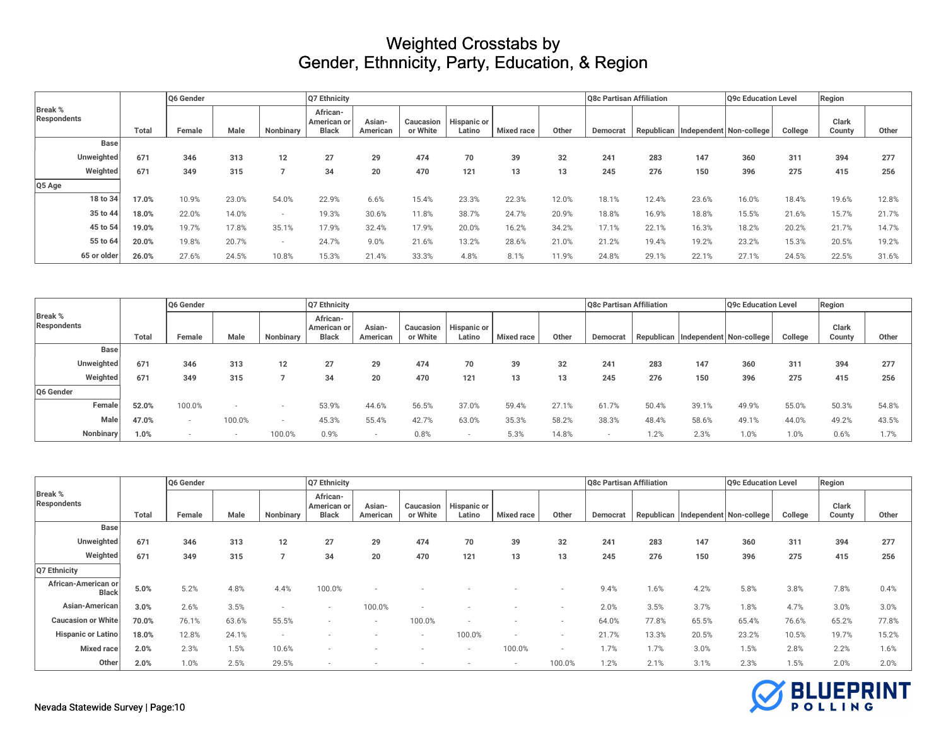|                               | O6 Gender   |       |        |       |           |                                         |                    |                       |                              |                   |       | <b>O8c Partisan Affiliation</b> |            |       | Q9c Education Level     |         | Region          |       |
|-------------------------------|-------------|-------|--------|-------|-----------|-----------------------------------------|--------------------|-----------------------|------------------------------|-------------------|-------|---------------------------------|------------|-------|-------------------------|---------|-----------------|-------|
| <b>Break %</b><br>Respondents |             | Total | Female | Male  | Nonbinary | African-<br>American or<br><b>Black</b> | Asian-<br>American | Caucasion<br>or White | <b>Hispanic or</b><br>Latino | <b>Mixed race</b> | Other | Democrat                        | Republican |       | Independent Non-college | College | Clark<br>County | Other |
|                               | Base        |       |        |       |           |                                         |                    |                       |                              |                   |       |                                 |            |       |                         |         |                 |       |
|                               | Unweighted  | 671   | 346    | 313   | 12        | 27                                      | 29                 | 474                   | 70                           | 39                | 32    | 241                             | 283        | 147   | 360                     | 311     | 394             | 277   |
|                               | Weighted    | 671   | 349    | 315   |           | 34                                      | 20                 | 470                   | 121                          | 13                | 13    | 245                             | 276        | 150   | 396                     | 275     | 415             | 256   |
| Q5 Age                        |             |       |        |       |           |                                         |                    |                       |                              |                   |       |                                 |            |       |                         |         |                 |       |
|                               | 18 to 34    | 17.0% | 10.9%  | 23.0% | 54.0%     | 22.9%                                   | 6.6%               | 15.4%                 | 23.3%                        | 22.3%             | 12.0% | 18.1%                           | 12.4%      | 23.6% | 16.0%                   | 18.4%   | 19.6%           | 12.8% |
|                               | 35 to 44    | 18.0% | 22.0%  | 14.0% |           | 19.3%                                   | 30.6%              | 11.8%                 | 38.7%                        | 24.7%             | 20.9% | 18.8%                           | 16.9%      | 18.8% | 15.5%                   | 21.6%   | 15.7%           | 21.7% |
|                               | 45 to 54    | 19.0% | 19.7%  | 17.8% | 35.1%     | 17.9%                                   | 32.4%              | 17.9%                 | 20.0%                        | 16.2%             | 34.2% | 17.1%                           | 22.1%      | 16.3% | 18.2%                   | 20.2%   | 21.7%           | 14.7% |
|                               | 55 to 64    | 20.0% | 19.8%  | 20.7% |           | 24.7%                                   | 9.0%               | 21.6%                 | 13.2%                        | 28.6%             | 21.0% | 21.2%                           | 19.4%      | 19.2% | 23.2%                   | 15.3%   | 20.5%           | 19.2% |
|                               | 65 or older | 26.0% | 27.6%  | 24.5% | 10.8%     | 15.3%                                   | 21.4%              | 33.3%                 | 4.8%                         | 8.1%              | 11.9% | 24.8%                           | 29.1%      | 22.1% | 27.1%                   | 24.5%   | 22.5%           | 31.6% |

|                                      |              | Q6 Gender |        |           | Q7 Ethnicity                                   | Q8c Partisan Affiliation |          |                                   |                   |       |          |            |       | Q9c Education Level     |         | Region          |       |  |
|--------------------------------------|--------------|-----------|--------|-----------|------------------------------------------------|--------------------------|----------|-----------------------------------|-------------------|-------|----------|------------|-------|-------------------------|---------|-----------------|-------|--|
| <b>Break %</b><br><b>Respondents</b> | <b>Total</b> | Female    | Male   | Nonbinary | <b>African-</b><br>American or<br><b>Black</b> | Asian<br>American        | or White | Caucasion   Hispanic or<br>Latino | <b>Mixed race</b> | Other | Democrat | Republican |       | Independent Non-college | College | Clark<br>County | Other |  |
| <b>Base</b>                          |              |           |        |           |                                                |                          |          |                                   |                   |       |          |            |       |                         |         |                 |       |  |
| Unweighted                           | 671          | 346       | 313    | 12        | 27                                             | 29                       | 474      | 70                                | 39                | 32    | 241      | 283        | 147   | 360                     | 311     | 394             | 277   |  |
| Weighted                             | 671          | 349       | 315    |           | 34                                             | 20                       | 470      | 121                               | 13                | 13    | 245      | 276        | 150   | 396                     | 275     | 415             | 256   |  |
| Q6 Gender                            |              |           |        |           |                                                |                          |          |                                   |                   |       |          |            |       |                         |         |                 |       |  |
| Female                               | 52.0%        | 100.0%    |        |           | 53.9%                                          | 44.6%                    | 56.5%    | 37.0%                             | 59.4%             | 27.1% | 61.7%    | 50.4%      | 39.1% | 49.9%                   | 55.0%   | 50.3%           | 54.8% |  |
| Male                                 | 47.0%        |           | 100.0% |           | 45.3%                                          | 55.4%                    | 42.7%    | 63.0%                             | 35.3%             | 58.2% | 38.3%    | 48.4%      | 58.6% | 49.1%                   | 44.0%   | 49.2%           | 43.5% |  |
| Nonbinary                            | 1.0%         |           | $\sim$ | 100.0%    | 0.9%                                           |                          | 0.8%     | $\overline{\phantom{a}}$          | 5.3%              | 14.8% |          | 1.2%       | 2.3%  | 1.0%                    | 0.0%    | 0.6%            | 1.7%  |  |

|                                     |              | O6 Gender |       |                | Q7 Ethnicity                            |                    |                       |                       |                          |                          | Q8c Partisan Affiliation |       |       | Q9c Education Level                |         | Region          |       |
|-------------------------------------|--------------|-----------|-------|----------------|-----------------------------------------|--------------------|-----------------------|-----------------------|--------------------------|--------------------------|--------------------------|-------|-------|------------------------------------|---------|-----------------|-------|
| Break %<br><b>Respondents</b>       | <b>Total</b> | Female    | Male  | Nonbinary      | African-<br>American or<br><b>Black</b> | Asian-<br>American | Caucasion<br>or White | Hispanic or<br>Latino | <b>Mixed race</b>        | Other                    | Democrat                 |       |       | Republican Independent Non-college | College | Clark<br>County | Other |
| <b>Base</b>                         |              |           |       |                |                                         |                    |                       |                       |                          |                          |                          |       |       |                                    |         |                 |       |
| Unweighted                          | 671          | 346       | 313   | 12             | 27                                      | 29                 | 474                   | 70                    | 39                       | 32                       | 241                      | 283   | 147   | 360                                | 311     | 394             | 277   |
| Weighted                            | 671          | 349       | 315   | $\overline{ }$ | 34                                      | 20                 | 470                   | 121                   | 13                       | 13                       | 245                      | 276   | 150   | 396                                | 275     | 415             | 256   |
| Q7 Ethnicity                        |              |           |       |                |                                         |                    |                       |                       |                          |                          |                          |       |       |                                    |         |                 |       |
| African-American or<br><b>Black</b> | 5.0%         | 5.2%      | 4.8%  | 4.4%           | 100.0%                                  |                    |                       |                       |                          |                          | 9.4%                     | 1.6%  | 4.2%  | 5.8%                               | 3.8%    | 7.8%            | 0.4%  |
| Asian-American                      | 3.0%         | 2.6%      | 3.5%  | $\sim$         | $\overline{\phantom{a}}$                | 100.0%             |                       |                       |                          | $\overline{\phantom{a}}$ | 2.0%                     | 3.5%  | 3.7%  | 1.8%                               | 4.7%    | 3.0%            | 3.0%  |
| <b>Caucasion or White</b>           | 70.0%        | 76.1%     | 63.6% | 55.5%          |                                         |                    | 100.0%                |                       |                          |                          | 64.0%                    | 77.8% | 65.5% | 65.4%                              | 76.6%   | 65.2%           | 77.8% |
| <b>Hispanic or Latino</b>           | 18.0%        | 12.8%     | 24.1% | $\sim$         |                                         |                    |                       | 100.0%                | $\overline{\phantom{a}}$ | $\overline{\phantom{a}}$ | 21.7%                    | 13.3% | 20.5% | 23.2%                              | 10.5%   | 19.7%           | 15.2% |
| <b>Mixed race</b>                   | 2.0%         | 2.3%      | 1.5%  | 10.6%          | $\overline{\phantom{a}}$                |                    |                       | $\sim$                | 100.0%                   | $\overline{\phantom{a}}$ | 1.7%                     | 1.7%  | 3.0%  | 1.5%                               | 2.8%    | 2.2%            | 1.6%  |
| Other                               | 2.0%         | 1.0%      | 2.5%  | 29.5%          | $\overline{\phantom{a}}$                |                    |                       |                       | $\overline{\phantom{a}}$ | 100.0%                   | 1.2%                     | 2.1%  | 3.1%  | 2.3%                               | 1.5%    | 2.0%            | 2.0%  |